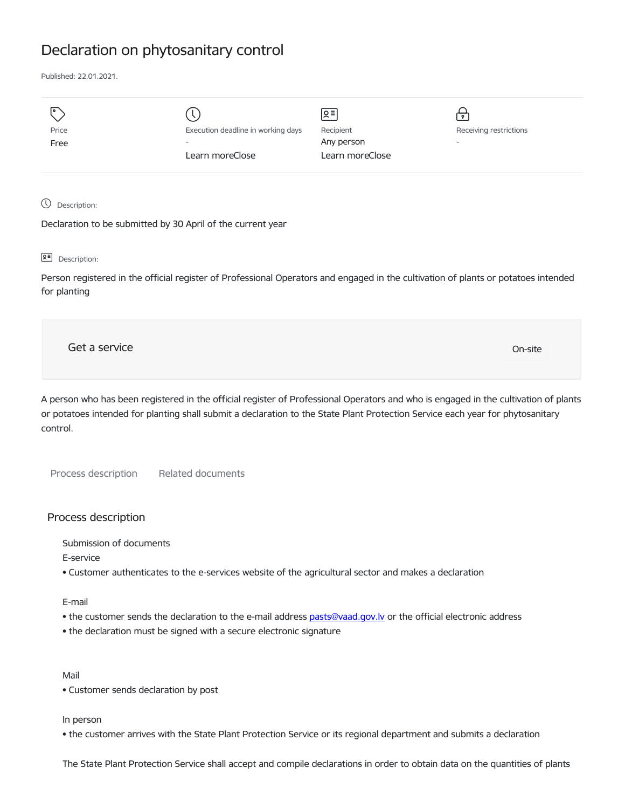## Declaration on phytosanitary control

Published: 22.01.2021.

| তি    |                                    | 의               | $\bullet$                |
|-------|------------------------------------|-----------------|--------------------------|
| Price | Execution deadline in working days | Recipient       | Receiving restrictions   |
| Free  | $\overline{\phantom{a}}$           | Any person      | $\overline{\phantom{0}}$ |
|       | Learn moreClose                    | Learn moreClose |                          |
|       |                                    |                 |                          |

Description:

Declaration to be submitted by 30 April of the current year

요<sup>리</sup> Description:

Person registered in the official register of Professional Operators and engaged in the cultivation of plants or potatoes intended for planting

Get a service On-site

A person who has been registered in the official register of Professional Operators and who is engaged in the cultivation of plants or potatoes intended for planting shall submit a declaration to the State Plant Protection Service each year for phytosanitary control.

Process description Related documents

## Process description

Submission of documents

E-service

• Customer authenticates to the e-services website of the agricultural sector and makes a declaration

E-mail

- the customer sends the declaration to the e-mail address [pasts@vaad.gov.lv](mailto:pasts@vaad.gov.lv) or the official electronic address
- the declaration must be signed with a secure electronic signature

Mail

• Customer sends declaration by post

In person

• the customer arrives with the State Plant Protection Service or its regional department and submits a declaration

The State Plant Protection Service shall accept and compile declarations in order to obtain data on the quantities of plants